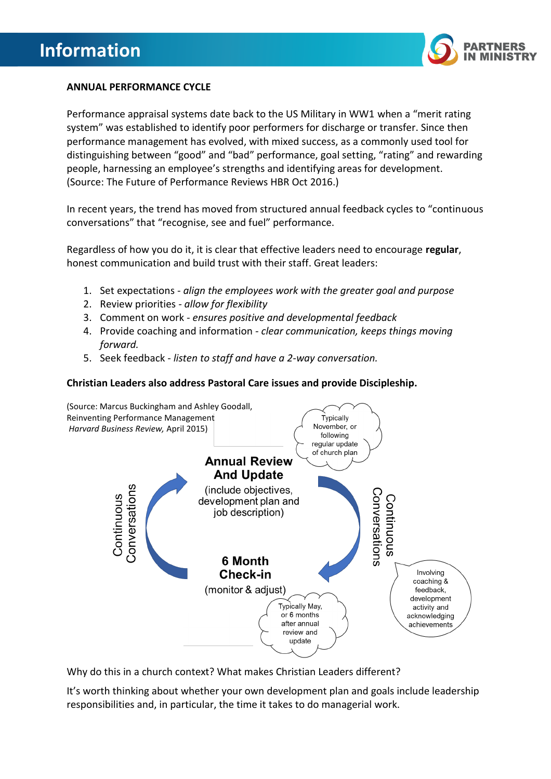

# **ANNUAL PERFORMANCE CYCLE**

Performance appraisal systems date back to the US Military in WW1 when a "merit rating system" was established to identify poor performers for discharge or transfer. Since then performance management has evolved, with mixed success, as a commonly used tool for distinguishing between "good" and "bad" performance, goal setting, "rating" and rewarding people, harnessing an employee's strengths and identifying areas for development. (Source: The Future of Performance Reviews HBR Oct 2016.)

In recent years, the trend has moved from structured annual feedback cycles to "continuous conversations" that "recognise, see and fuel" performance.

Regardless of how you do it, it is clear that effective leaders need to encourage **regular**, honest communication and build trust with their staff. Great leaders:

- 1. Set expectations *- align the employees work with the greater goal and purpose*
- 2. Review priorities *- allow for flexibility*
- 3. Comment on work *- ensures positive and developmental feedback*
- 4. Provide coaching and information *- clear communication, keeps things moving forward.*
- 5. Seek feedback *listen to staff and have a 2-way conversation.*

#### **Christian Leaders also address Pastoral Care issues and provide Discipleship.**



Why do this in a church context? What makes Christian Leaders different?

It's worth thinking about whether your own development plan and goals include leadership responsibilities and, in particular, the time it takes to do managerial work.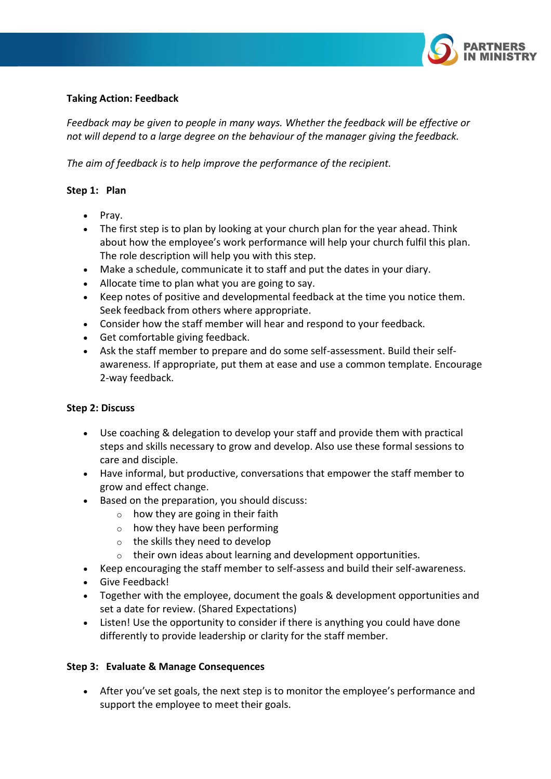

## **Taking Action: Feedback**

*Feedback may be given to people in many ways. Whether the feedback will be effective or not will depend to a large degree on the behaviour of the manager giving the feedback.*

*The aim of feedback is to help improve the performance of the recipient.*

# **Step 1: Plan**

- Pray.
- The first step is to plan by looking at your church plan for the year ahead. Think about how the employee's work performance will help your church fulfil this plan. The role description will help you with this step.
- Make a schedule, communicate it to staff and put the dates in your diary.
- Allocate time to plan what you are going to say.
- Keep notes of positive and developmental feedback at the time you notice them. Seek feedback from others where appropriate.
- Consider how the staff member will hear and respond to your feedback.
- Get comfortable giving feedback.
- Ask the staff member to prepare and do some self-assessment. Build their selfawareness. If appropriate, put them at ease and use a common template. Encourage 2-way feedback.

#### **Step 2: Discuss**

- Use coaching & delegation to develop your staff and provide them with practical steps and skills necessary to grow and develop. Also use these formal sessions to care and disciple.
- Have informal, but productive, conversations that empower the staff member to grow and effect change.
- Based on the preparation, you should discuss:
	- $\circ$  how they are going in their faith
	- $\circ$  how they have been performing
	- o the skills they need to develop
	- o their own ideas about learning and development opportunities.
- Keep encouraging the staff member to self-assess and build their self-awareness.
- Give Feedback!
- Together with the employee, document the goals & development opportunities and set a date for review. (Shared Expectations)
- Listen! Use the opportunity to consider if there is anything you could have done differently to provide leadership or clarity for the staff member.

#### **Step 3: Evaluate & Manage Consequences**

• After you've set goals, the next step is to monitor the employee's performance and support the employee to meet their goals.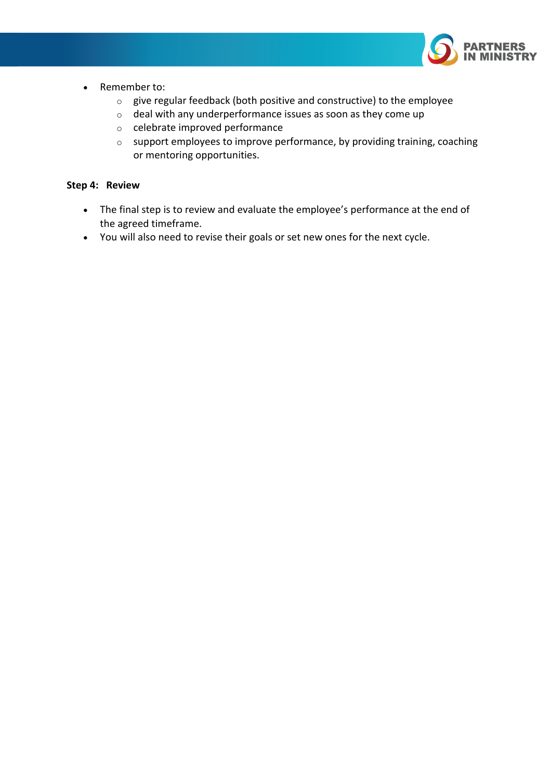

- Remember to:
	- o give regular feedback (both positive and constructive) to the employee
	- $\circ$  deal with any underperformance issues as soon as they come up
	- o celebrate improved performance
	- o support employees to improve performance, by providing training, coaching or mentoring opportunities.

#### **Step 4: Review**

- The final step is to review and evaluate the employee's performance at the end of the agreed timeframe.
- You will also need to revise their goals or set new ones for the next cycle.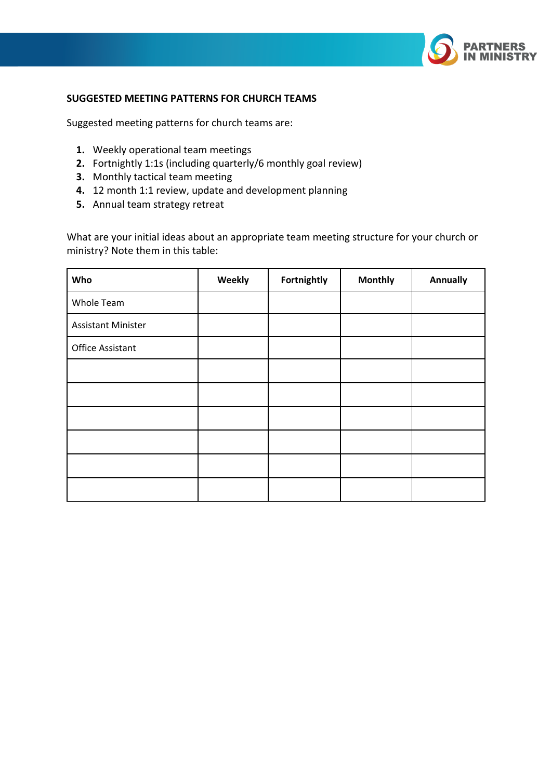

#### **SUGGESTED MEETING PATTERNS FOR CHURCH TEAMS**

Suggested meeting patterns for church teams are:

- **1.** Weekly operational team meetings
- **2.** Fortnightly 1:1s (including quarterly/6 monthly goal review)
- **3.** Monthly tactical team meeting
- **4.** 12 month 1:1 review, update and development planning
- **5.** Annual team strategy retreat

What are your initial ideas about an appropriate team meeting structure for your church or ministry? Note them in this table:

| Who                       | Weekly | Fortnightly | <b>Monthly</b> | <b>Annually</b> |
|---------------------------|--------|-------------|----------------|-----------------|
| Whole Team                |        |             |                |                 |
| <b>Assistant Minister</b> |        |             |                |                 |
| <b>Office Assistant</b>   |        |             |                |                 |
|                           |        |             |                |                 |
|                           |        |             |                |                 |
|                           |        |             |                |                 |
|                           |        |             |                |                 |
|                           |        |             |                |                 |
|                           |        |             |                |                 |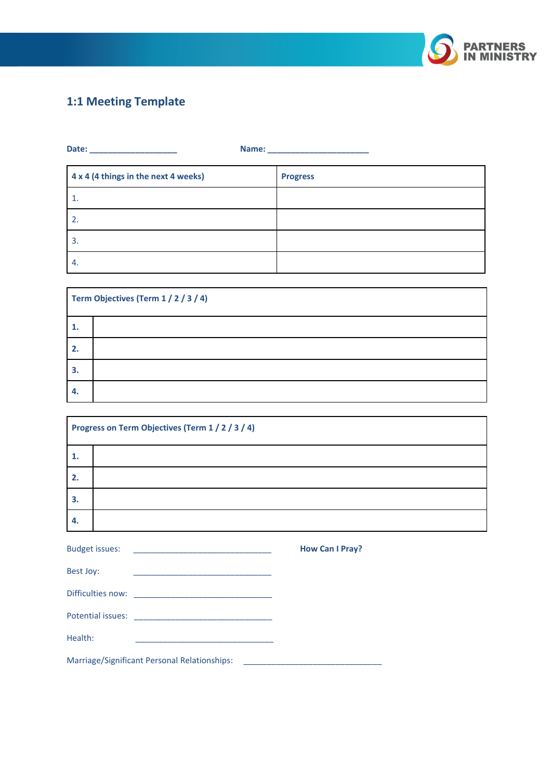

# **1:1 Meeting Template**

 $\overline{a}$ 

| 4 x 4 (4 things in the next 4 weeks) | <b>Progress</b> |
|--------------------------------------|-----------------|
| 1.                                   |                 |
| 2.                                   |                 |
| 3.                                   |                 |
| -4.                                  |                 |

| Term Objectives (Term 1 / 2 / 3 / 4) |  |
|--------------------------------------|--|
| 1.                                   |  |
| 2.                                   |  |
| 3.                                   |  |
| -4.                                  |  |

| Progress on Term Objectives (Term 1 / 2 / 3 / 4) |  |
|--------------------------------------------------|--|
| 1.                                               |  |
| 2.                                               |  |
| 3.                                               |  |
| -4.                                              |  |

| <b>Budget issues:</b> | <u> 1989 - Jan Alexandria de Alexandria de Alexandria de Alexandria de Alexandria de Alexandria de Alexandria de </u> | <b>How Can I Pray?</b> |
|-----------------------|-----------------------------------------------------------------------------------------------------------------------|------------------------|
| Best Joy:             | the control of the control of the control of the control of the control of the control of                             |                        |
|                       |                                                                                                                       |                        |
|                       |                                                                                                                       |                        |
| Health:               |                                                                                                                       |                        |
|                       | Marriage/Significant Personal Relationships:                                                                          |                        |